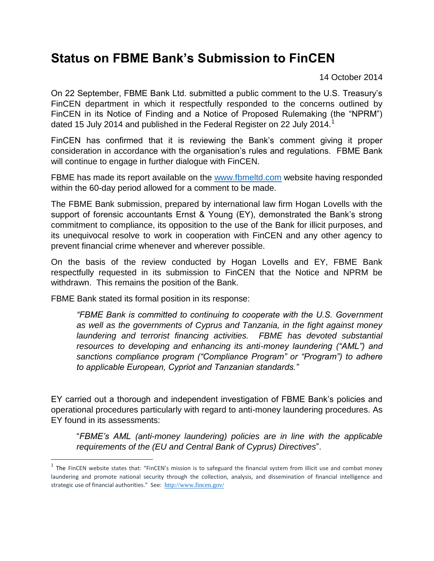## **Status on FBME Bank's Submission to FinCEN**

14 October 2014

On 22 September, FBME Bank Ltd. submitted a public comment to the U.S. Treasury's FinCEN department in which it respectfully responded to the concerns outlined by FinCEN in its Notice of Finding and a Notice of Proposed Rulemaking (the "NPRM") dated 15 July 2014 and published in the Federal Register on 22 July 2014.<sup>1</sup>

FinCEN has confirmed that it is reviewing the Bank's comment giving it proper consideration in accordance with the organisation's rules and regulations. FBME Bank will continue to engage in further dialogue with FinCEN.

FBME has made its report available on the [www.fbmeltd.com](http://www.fbmeltd.com/) website having responded within the 60-day period allowed for a comment to be made.

The FBME Bank submission, prepared by international law firm Hogan Lovells with the support of forensic accountants Ernst & Young (EY), demonstrated the Bank's strong commitment to compliance, its opposition to the use of the Bank for illicit purposes, and its unequivocal resolve to work in cooperation with FinCEN and any other agency to prevent financial crime whenever and wherever possible.

On the basis of the review conducted by Hogan Lovells and EY, FBME Bank respectfully requested in its submission to FinCEN that the Notice and NPRM be withdrawn. This remains the position of the Bank.

FBME Bank stated its formal position in its response:

 $\overline{\phantom{a}}$ 

*"FBME Bank is committed to continuing to cooperate with the U.S. Government as well as the governments of Cyprus and Tanzania, in the fight against money laundering and terrorist financing activities. FBME has devoted substantial resources to developing and enhancing its anti-money laundering ("AML") and sanctions compliance program ("Compliance Program" or "Program") to adhere to applicable European, Cypriot and Tanzanian standards."*

EY carried out a thorough and independent investigation of FBME Bank's policies and operational procedures particularly with regard to anti-money laundering procedures. As EY found in its assessments:

"*FBME's AML (anti-money laundering) policies are in line with the applicable requirements of the (EU and Central Bank of Cyprus) Directives*".

 $<sup>1</sup>$  The FinCEN website states that: "FinCEN's mission is to safeguard the financial system from illicit use and combat money</sup> laundering and promote national security through the collection, analysis, and dissemination of financial intelligence and strategic use of financial authorities." See: <http://www.fincen.gov/>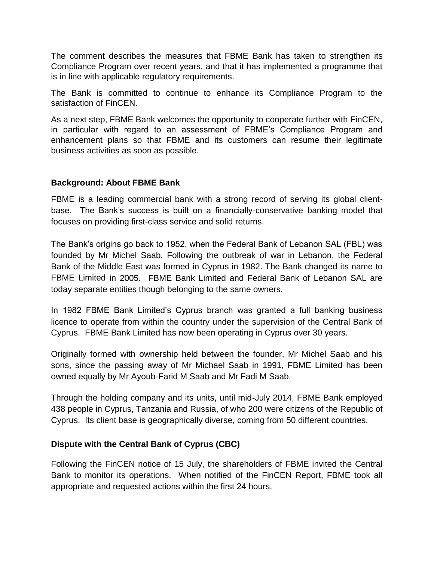The comment describes the measures that FBME Bank has taken to strengthen its Compliance Program over recent years, and that it has implemented a programme that is in line with applicable regulatory requirements.

The Bank is committed to continue to enhance its Compliance Program to the satisfaction of FinCEN.

As a next step, FBME Bank welcomes the opportunity to cooperate further with FinCEN, in particular with regard to an assessment of FBME's Compliance Program and enhancement plans so that FBME and its customers can resume their legitimate business activities as soon as possible.

## **Background: About FBME Bank**

FBME is a leading commercial bank with a strong record of serving its global clientbase. The Bank's success is built on a financially-conservative banking model that focuses on providing first-class service and solid returns.

The Bank's origins go back to 1952, when the Federal Bank of Lebanon SAL (FBL) was founded by Mr Michel Saab. Following the outbreak of war in Lebanon, the Federal Bank of the Middle East was formed in Cyprus in 1982. The Bank changed its name to FBME Limited in 2005. FBME Bank Limited and Federal Bank of Lebanon SAL are today separate entities though belonging to the same owners.

In 1982 FBME Bank Limited's Cyprus branch was granted a full banking business licence to operate from within the country under the supervision of the Central Bank of Cyprus. FBME Bank Limited has now been operating in Cyprus over 30 years.

Originally formed with ownership held between the founder, Mr Michel Saab and his sons, since the passing away of Mr Michael Saab in 1991, FBME Limited has been owned equally by Mr Ayoub-Farid M Saab and Mr Fadi M Saab.

Through the holding company and its units, until mid-July 2014, FBME Bank employed 438 people in Cyprus, Tanzania and Russia, of who 200 were citizens of the Republic of Cyprus. Its client base is geographically diverse, coming from 50 different countries.

## **Dispute with the Central Bank of Cyprus (CBC)**

Following the FinCEN notice of 15 July, the shareholders of FBME invited the Central Bank to monitor its operations. When notified of the FinCEN Report, FBME took all appropriate and requested actions within the first 24 hours.